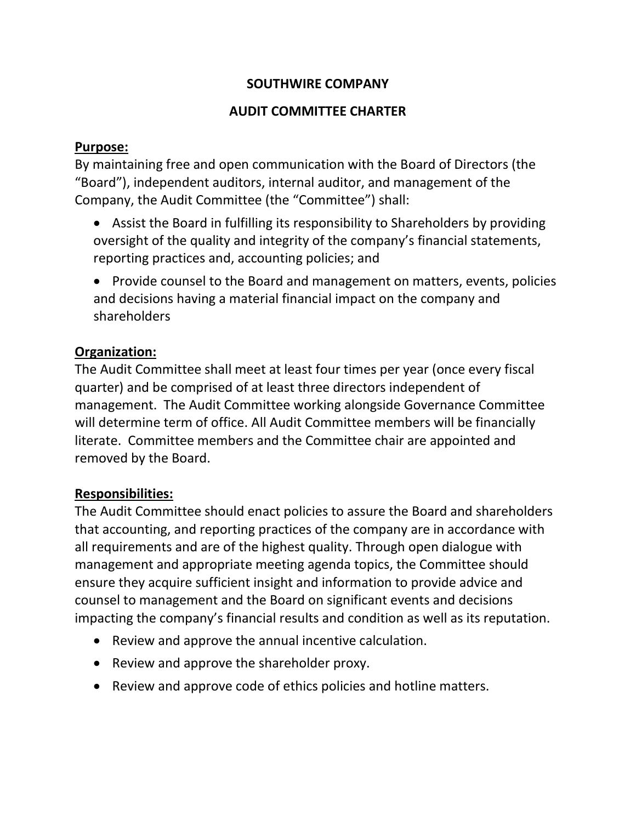# **SOUTHWIRE COMPANY**

### **AUDIT COMMITTEE CHARTER**

#### **Purpose:**

By maintaining free and open communication with the Board of Directors (the "Board"), independent auditors, internal auditor, and management of the Company, the Audit Committee (the "Committee") shall:

- Assist the Board in fulfilling its responsibility to Shareholders by providing oversight of the quality and integrity of the company's financial statements, reporting practices and, accounting policies; and
- Provide counsel to the Board and management on matters, events, policies and decisions having a material financial impact on the company and shareholders

### **Organization:**

The Audit Committee shall meet at least four times per year (once every fiscal quarter) and be comprised of at least three directors independent of management. The Audit Committee working alongside Governance Committee will determine term of office. All Audit Committee members will be financially literate. Committee members and the Committee chair are appointed and removed by the Board.

### **Responsibilities:**

The Audit Committee should enact policies to assure the Board and shareholders that accounting, and reporting practices of the company are in accordance with all requirements and are of the highest quality. Through open dialogue with management and appropriate meeting agenda topics, the Committee should ensure they acquire sufficient insight and information to provide advice and counsel to management and the Board on significant events and decisions impacting the company's financial results and condition as well as its reputation.

- Review and approve the annual incentive calculation.
- Review and approve the shareholder proxy.
- Review and approve code of ethics policies and hotline matters.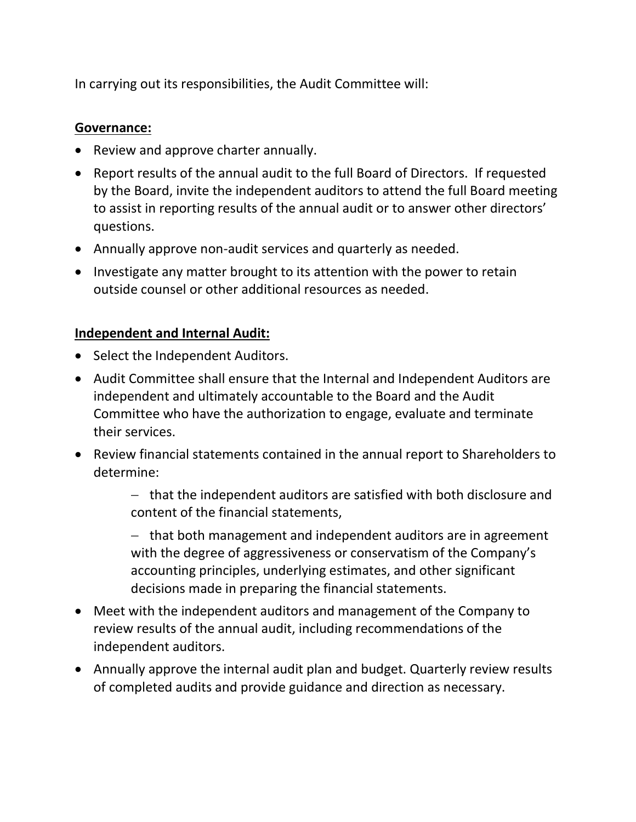In carrying out its responsibilities, the Audit Committee will:

### **Governance:**

- Review and approve charter annually.
- Report results of the annual audit to the full Board of Directors. If requested by the Board, invite the independent auditors to attend the full Board meeting to assist in reporting results of the annual audit or to answer other directors' questions.
- Annually approve non-audit services and quarterly as needed.
- Investigate any matter brought to its attention with the power to retain outside counsel or other additional resources as needed.

# **Independent and Internal Audit:**

- Select the Independent Auditors.
- Audit Committee shall ensure that the Internal and Independent Auditors are independent and ultimately accountable to the Board and the Audit Committee who have the authorization to engage, evaluate and terminate their services.
- Review financial statements contained in the annual report to Shareholders to determine:

− that the independent auditors are satisfied with both disclosure and content of the financial statements,

− that both management and independent auditors are in agreement with the degree of aggressiveness or conservatism of the Company's accounting principles, underlying estimates, and other significant decisions made in preparing the financial statements.

- Meet with the independent auditors and management of the Company to review results of the annual audit, including recommendations of the independent auditors.
- Annually approve the internal audit plan and budget. Quarterly review results of completed audits and provide guidance and direction as necessary.